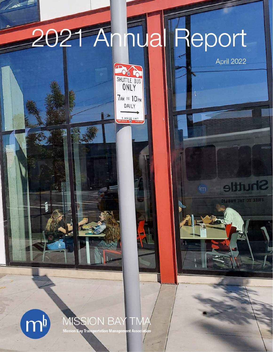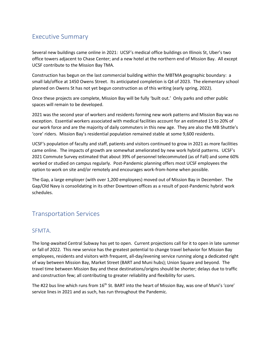# Executive Summary

Several new buildings came online in 2021: UCSF's medical office buildings on Illinois St, Uber's two office towers adjacent to Chase Center; and a new hotel at the northern end of Mission Bay. All except UCSF contribute to the Mission Bay TMA.

Construction has begun on the last commercial building within the MBTMA geographic boundary: a small lab/office at 1450 Owens Street. Its anticipated completion is Q4 of 2023. The elementary school planned on Owens St has not yet begun construction as of this writing (early spring, 2022).

Once these projects are complete, Mission Bay will be fully 'built out.' Only parks and other public spaces will remain to be developed.

2021 was the second year of workers and residents forming new work patterns and Mission Bay was no exception. Essential workers associated with medical facilities account for an estimated 15 to 20% of our work force and are the majority of daily commuters in this new age. They are also the MB Shuttle's 'core' riders. Mission Bay's residential population remained stable at some 9,600 residents.

UCSF's population of faculty and staff, patients and visitors continued to grow in 2021 as more facilities came online. The impacts of growth are somewhat ameliorated by new work hybrid patterns. UCSF's 2021 Commute Survey estimated that about 39% of personnel telecommuted (as of Fall) and some 60% worked or studied on campus regularly. Post-Pandemic planning offers most UCSF employees the option to work on site and/or remotely and encourages work-from-home when possible.

The Gap, a large employer (with over 1,200 employees) moved out of Mission Bay in December. The Gap/Old Navy is consolidating in its other Downtown offices as a result of post-Pandemic hybrid work schedules.

# Transportation Services

### SFMTA.

The long-awaited Central Subway has yet to open. Current projections call for it to open in late summer or fall of 2022. This new service has the greatest potential to change travel behavior for Mission Bay employees, residents and visitors with frequent, all-day/evening service running along a dedicated right of way between Mission Bay, Market Street (BART and Muni hubs); Union Square and beyond. The travel time between Mission Bay and these destinations/origins should be shorter; delays due to traffic and construction few; all contributing to greater reliability and flexibility for users.

The #22 bus line which runs from 16<sup>th</sup> St. BART into the heart of Mission Bay, was one of Muni's 'core' service lines in 2021 and as such, has run throughout the Pandemic.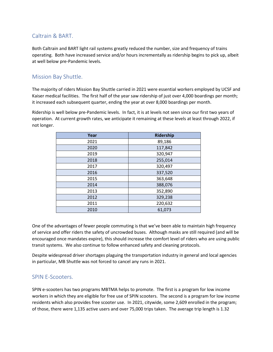### Caltrain & BART.

Both Caltrain and BART light rail systems greatly reduced the number, size and frequency of trains operating. Both have increased service and/or hours incrementally as ridership begins to pick up, albeit at well below pre-Pandemic levels.

### Mission Bay Shuttle.

The majority of riders Mission Bay Shuttle carried in 2021 were essential workers employed by UCSF and Kaiser medical facilities. The first half of the year saw ridership of just over 4,000 boardings per month; it increased each subsequent quarter, ending the year at over 8,000 boardings per month.

Ridership is well below pre-Pandemic levels. In fact, it is at levels not seen since our first two years of operation. At current growth rates, we anticipate it remaining at these levels at least through 2022, if not longer.

| Year | Ridership |
|------|-----------|
| 2021 | 89,186    |
| 2020 | 117,842   |
| 2019 | 320,947   |
| 2018 | 255,014   |
| 2017 | 320,497   |
| 2016 | 337,520   |
| 2015 | 363,648   |
| 2014 | 388,076   |
| 2013 | 352,890   |
| 2012 | 329,238   |
| 2011 | 220,632   |
| 2010 | 61,073    |

One of the advantages of fewer people commuting is that we've been able to maintain high frequency of service and offer riders the safety of uncrowded buses. Although masks are still required (and will be encouraged once mandates expire), this should increase the comfort level of riders who are using public transit systems. We also continue to follow enhanced safety and cleaning protocols.

Despite widespread driver shortages plaguing the transportation industry in general and local agencies in particular, MB Shuttle was not forced to cancel any runs in 2021.

### SPIN E-Scooters.

SPIN e-scooters has two programs MBTMA helps to promote. The first is a program for low income workers in which they are eligible for free use of SPIN scooters. The second is a program for low income residents which also provides free scooter use. In 2021, citywide, some 2,609 enrolled in the program; of those, there were 1,135 active users and over 75,000 trips taken. The average trip length is 1.32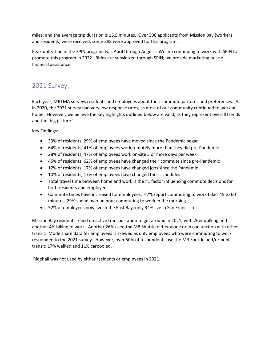miles; and the average trip duration is 15.5 minutes. Over 300 applicants from Mission Bay (workers and residents) were received; some 288 were approved for this program.

Peak utilization in the SPIN program was April through August. We are continuing to work with SPIN to promote this program in 2022. Rides are subsidized through SPIN; we provide marketing but no financial assistance.

## 2021 Survey.

Each year, MBTMA surveys residents and employees about their commute patterns and preferences. As in 2020, the 2021 survey had very low response rates, as most of our community continued to work at home. However, we believe the key highlights outlined below are valid, as they represent overall trends and the 'big picture.'

Key Findings:

- 33% of residents; 29% of employees have moved since the Pandemic began
- 64% of residents; 41% of employees work remotely more than they did pre-Pandemic
- 28% of residents; 47% of employees work on-site 3 or more days per week
- 45% of residents; 62% of employees have changed their commute since pre-Pandemic
- 12% of residents; 17% of employees have changed jobs since the Pandemic
- 10% of residents; 17% of employees have changed their schedules
- Total travel time between home and work is the #1 factor influencing commute decisions for both residents and employees
- Commute times have increased for employees: 47% report commuting to work takes 45 to 60 minutes; 29% spend over an hour commuting to work in the morning
- 52% of employees now live in the East Bay; only 34% live in San Francisco

Mission Bay residents relied on active transportation to get around in 2021, with 26% walking and another 4% biking to work. Another 26% used the MB Shuttle either alone or in conjunction with other transit. Mode share data for employees is skewed as only employees who were commuting to work responded to the 2021 survey. However, over 50% of respondents use the MB Shuttle and/or public transit; 17% walked and 11% carpooled.

Ridehail was not used by either residents or employees in 2021.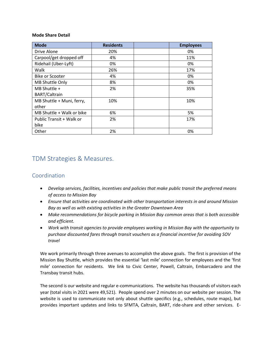#### **Mode Share Detail**

| <b>Mode</b>               | <b>Residents</b> | <b>Employees</b> |
|---------------------------|------------------|------------------|
| Drive Alone               | 20%              | 0%               |
| Carpool/get dropped off   | 4%               | 11%              |
| Ridehail (Uber-Lyft)      | 0%               | 0%               |
| Walk                      | 26%              | 17%              |
| Bike or Scooter           | 4%               | 0%               |
| MB Shuttle Only           | 8%               | 0%               |
| MB Shuttle +              | 2%               | 35%              |
| <b>BART/Caltrain</b>      |                  |                  |
| MB Shuttle + Muni, ferry, | 10%              | 10%              |
| other                     |                  |                  |
| MB Shuttle + Walk or bike | 6%               | 5%               |
| Public Transit + Walk or  | 2%               | 17%              |
| bike                      |                  |                  |
| Other                     | 2%               | 0%               |

### TDM Strategies & Measures.

#### Coordination

- *Develop services, facilities, incentives and policies that make public transit the preferred means of access to Mission Bay*
- *Ensure that activities are coordinated with other transportation interests in and around Mission Bay as well as with existing activities in the Greater Downtown Area*
- *Make recommendations for bicycle parking in Mission Bay common areas that is both accessible and efficient.*
- *Work with transit agencies to provide employees working in Mission Bay with the opportunity to purchase discounted fares through transit vouchers as a financial incentive for avoiding SOV travel*

We work primarily through three avenues to accomplish the above goals. The first is provision of the Mission Bay Shuttle, which provides the essential 'last mile' connection for employees and the 'first mile' connection for residents. We link to Civic Center, Powell, Caltrain, Embarcadero and the Transbay transit hubs.

The second is our website and regular e-communications. The website has thousands of visitors each year (total visits in 2021 were 49,521). People spend over 2 minutes on our website per session. The website is used to communicate not only about shuttle specifics (e.g., schedules, route maps), but provides important updates and links to SFMTA, Caltrain, BART, ride-share and other services. E-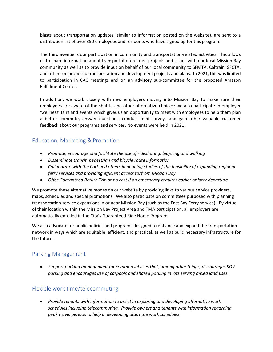blasts about transportation updates (similar to information posted on the website), are sent to a distribution list of over 350 employees and residents who have signed up for this program.

The third avenue is our participation in community and transportation-related activities. This allows us to share information about transportation-related projects and issues with our local Mission Bay community as well as to provide input on behalf of our local community to SFMTA, Caltrain, SFCTA, and others on proposed transportation and development projects and plans. In 2021, this was limited to participation in CAC meetings and on an advisory sub-committee for the proposed Amazon Fulfillment Center.

In addition, we work closely with new employers moving into Mission Bay to make sure their employees are aware of the shuttle and other alternative choices; we also participate in employer 'wellness' fairs and events which gives us an opportunity to meet with employees to help them plan a better commute, answer questions, conduct mini surveys and gain other valuable customer feedback about our programs and services. No events were held in 2021.

### Education, Marketing & Promotion

- *Promote, encourage and facilitate the use of ridesharing, bicycling and walking*
- *Disseminate transit, pedestrian and bicycle route information*
- *Collaborate with the Port and others in ongoing studies of the feasibility of expanding regional ferry services and providing efficient access to/from Mission Bay.*
- *Offer Guaranteed Return Trip at no cost if an emergency requires earlier or later departure*

We promote these alternative modes on our website by providing links to various service providers, maps, schedules and special promotions. We also participate on committees purposed with planning transportation service expansions in or near Mission Bay (such as the East Bay Ferry service). By virtue of their location within the Mission Bay Project Area and TMA participation, all employers are automatically enrolled in the City's Guaranteed Ride Home Program.

We also advocate for public policies and programs designed to enhance and expand the transportation network in ways which are equitable, efficient, and practical, as well as build necessary infrastructure for the future.

### Parking Management

• *Support parking management for commercial uses that, among other things, discourages SOV parking and encourages use of carpools and shared parking in lots serving mixed land uses.* 

### Flexible work time/telecommuting

• *Provide tenants with information to assist in exploring and developing alternative work schedules including telecommuting. Provide owners and tenants with information regarding peak travel periods to help in developing alternate work schedules.*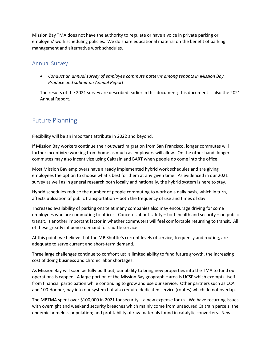Mission Bay TMA does not have the authority to regulate or have a voice in private parking or employers' work scheduling policies. We do share educational material on the benefit of parking management and alternative work schedules.

#### Annual Survey

• *Conduct an annual survey of employee commute patterns among tenants in Mission Bay. Produce and submit an Annual Report.*

The results of the 2021 survey are described earlier in this document; this document is also the 2021 Annual Report.

# Future Planning

Flexibility will be an important attribute in 2022 and beyond.

If Mission Bay workers continue their outward migration from San Francisco, longer commutes will further incentivize working from home as much as employers will allow. On the other hand, longer commutes may also incentivize using Caltrain and BART when people do come into the office.

Most Mission Bay employers have already implemented hybrid work schedules and are giving employees the option to choose what's best for them at any given time. As evidenced in our 2021 survey as well as in general research both locally and nationally, the hybrid system is here to stay.

Hybrid schedules reduce the number of people commuting to work on a daily basis, which in turn, affects utilization of public transportation – both the frequency of use and times of day.

Increased availability of parking onsite at many companies also may encourage driving for some employees who are commuting to offices. Concerns about safety – both health and security – on public transit, is another important factor in whether commuters will feel comfortable returning to transit. All of these greatly influence demand for shuttle service.

At this point, we believe that the MB Shuttle's current levels of service, frequency and routing, are adequate to serve current and short-term demand.

Three large challenges continue to confront us: a limited ability to fund future growth, the increasing cost of doing business and chronic labor shortages.

As Mission Bay will soon be fully built out, our ability to bring new properties into the TMA to fund our operations is capped. A large portion of the Mission Bay geographic area is UCSF which exempts itself from financial participation while continuing to grow and use our service. Other partners such as CCA and 100 Hooper, pay into our system but also require dedicated service (routes) which do not overlap.

The MBTMA spent over \$100,000 in 2021 for security – a new expense for us. We have recurring issues with overnight and weekend security breaches which mainly come from unsecured Caltrain parcels; the endemic homeless population; and profitability of raw materials found in catalytic converters. New